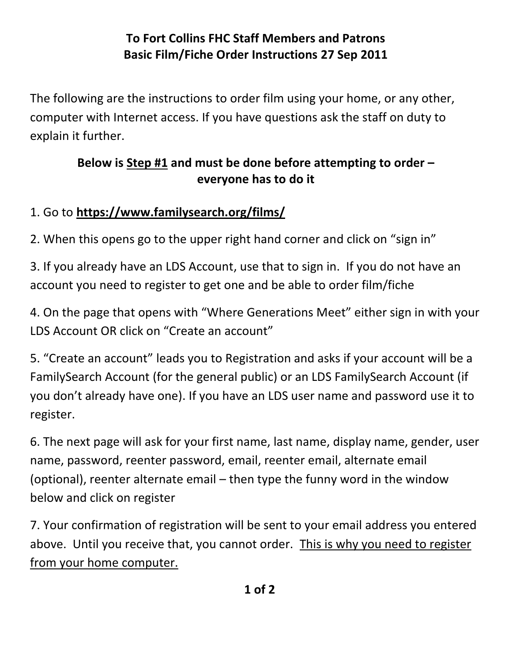## **To Fort Collins FHC Staff Members and Patrons Basic Film/Fiche Order Instructions 27 Sep 2011**

The following are the instructions to order film using your home, or any other, computer with Internet access. If you have questions ask the staff on duty to explain it further.

## **Below is Step #1 and must be done before attempting to order – everyone has to do it**

## 1. Go to **<https://www.familysearch.org/films/>**

2. When this opens go to the upper right hand corner and click on "sign in"

3. If you already have an LDS Account, use that to sign in. If you do not have an account you need to register to get one and be able to order film/fiche

4. On the page that opens with "Where Generations Meet" either sign in with your LDS Account OR click on "Create an account"

5. "Create an account" leads you to Registration and asks if your account will be a FamilySearch Account (for the general public) or an LDS FamilySearch Account (if you don't already have one). If you have an LDS user name and password use it to register.

6. The next page will ask for your first name, last name, display name, gender, user name, password, reenter password, email, reenter email, alternate email (optional), reenter alternate email – then type the funny word in the window below and click on register

7. Your confirmation of registration will be sent to your email address you entered above. Until you receive that, you cannot order. This is why you need to register from your home computer.